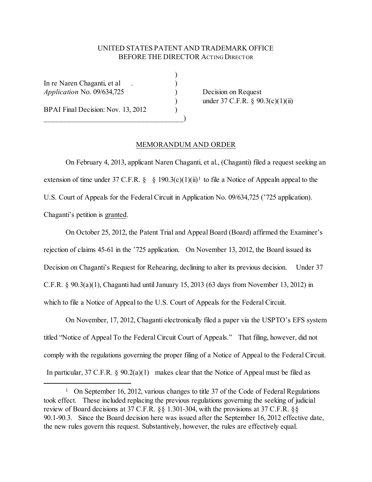## UNITED STATES PATENT AND TRADEMARK OFFICE BEFORE THE DIRECTOR ACTING DIRECTOR

)

In re Naren Chaganti, et al (1994)<br>
Application No. 09/634,725 *Application* No. 09/634,725 ) Decision on Request

BPAI Final Decision: Nov. 13, 2012

\_\_\_\_\_\_\_\_\_\_\_\_\_\_\_\_\_\_\_\_\_\_\_\_\_\_\_\_\_\_\_\_\_\_\_\_)

under 37 C.F.R. § 90.3(c)(1)(ii)

## MEMORANDUM AND ORDER

On February 4, 2013, applicant Naren Chaganti, et al., (Chaganti) filed a request seeking an extension of time under 37 C.F.R.  $\S$  § [1](#page-0-0)90.3(c)(1)(ii)<sup>1</sup> to file a Notice of Appealn appeal to the U.S. Court of Appeals for the Federal Circuit in Application No. 09/634,725 ('725 application). Chaganti's petition is granted.

On October 25, 2012, the Patent Trial and Appeal Board (Board) affirmed the Examiner's rejection of claims 45-61 in the '725 application. On November 13, 2012, the Board issued its Decision on Chaganti's Request for Rehearing, declining to alter its previous decision. Under 37 C.F.R.  $\&$  90.3(a)(1), Chaganti had until January 15, 2013 (63 days from November 13, 2012) in which to file a Notice of Appeal to the U.S. Court of Appeals for the Federal Circuit.

On November, 17, 2012, Chaganti electronically filed a paper via the USPTO's EFS system titled "Notice of Appeal To the Federal Circuit Court of Appeals." That filing, however, did not comply with the regulations governing the proper filing of a Notice of Appeal to the Federal Circuit. In particular, 37 C.F.R.  $\S$  90.2(a)(1) makes clear that the Notice of Appeal must be filed as

<span id="page-0-0"></span><sup>&</sup>lt;sup>1</sup> On September 16, 2012, various changes to title 37 of the Code of Federal Regulations took effect. These included replacing the previous regulations governing the seeking of judicial review of Board decisions at 37 C.F.R. §§ 1.301-304, with the provisions at 37 C.F.R. §§ 90.1-90.3. Since the Board decision here was issued after the September 16, 2012 effective date, the new rules govern this request. Substantively, however, the rules are effectively equal.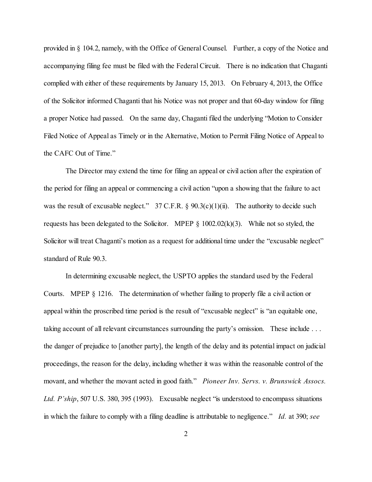provided in § 104.2, namely, with the Office of General Counsel. Further, a copy of the Notice and accompanying filing fee must be filed with the Federal Circuit. There is no indication that Chaganti complied with either of these requirements by January 15, 2013. On February 4, 2013, the Office of the Solicitor informed Chaganti that his Notice was not proper and that 60-day window for filing a proper Notice had passed. On the same day, Chaganti filed the underlying "Motion to Consider Filed Notice of Appeal as Timely or in the Alternative, Motion to Permit Filing Notice of Appeal to the CAFC Out of Time."

The Director may extend the time for filing an appeal or civil action after the expiration of the period for filing an appeal or commencing a civil action "upon a showing that the failure to act was the result of excusable neglect." 37 C.F.R.  $\S$  90.3(c)(1)(ii). The authority to decide such requests has been delegated to the Solicitor. MPEP  $\S$  1002.02(k)(3). While not so styled, the Solicitor will treat Chaganti's motion as a request for additional time under the "excusable neglect" standard of Rule 90.3.

In determining excusable neglect, the USPTO applies the standard used by the Federal Courts. MPEP § 1216. The determination of whether failing to properly file a civil action or appeal within the proscribed time period is the result of "excusable neglect" is "an equitable one, taking account of all relevant circumstances surrounding the party's omission. These include . . . the danger of prejudice to [another party], the length of the delay and its potential impact on judicial proceedings, the reason for the delay, including whether it was within the reasonable control of the movant, and whether the movant acted in good faith." *Pioneer Inv. Servs. v. Brunswick Assocs. Ltd. P'ship*, 507 U.S. 380, 395 (1993). Excusable neglect "is understood to encompass situations in which the failure to comply with a filing deadline is attributable to negligence." *Id.* at 390; *see*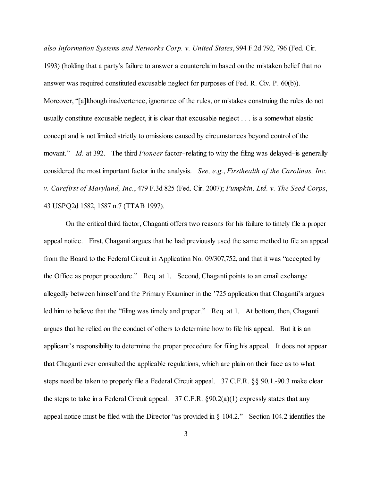*also Information Systems and Networks Corp. v. United States*, 994 F.2d 792, 796 (Fed. Cir. 1993) (holding that a party's failure to answer a counterclaim based on the mistaken belief that no answer was required constituted excusable neglect for purposes of Fed. R. Civ. P. 60(b)). Moreover, "[a]lthough inadvertence, ignorance of the rules, or mistakes construing the rules do not usually constitute excusable neglect, it is clear that excusable neglect . . . is a somewhat elastic concept and is not limited strictly to omissions caused by circumstances beyond control of the movant." *Id.* at 392. The third *Pioneer* factor–relating to why the filing was delayed–is generally considered the most important factor in the analysis. *See, e.g.*, *Firsthealth of the Carolinas, Inc. v. Carefirst of Maryland, Inc.*, 479 F.3d 825 (Fed. Cir. 2007); *Pumpkin, Ltd. v. The Seed Corps*, 43 USPQ2d 1582, 1587 n.7 (TTAB 1997).

On the critical third factor, Chaganti offers two reasons for his failure to timely file a proper appeal notice. First, Chaganti argues that he had previously used the same method to file an appeal from the Board to the Federal Circuit in Application No. 09/307,752, and that it was "accepted by the Office as proper procedure." Req. at 1. Second, Chaganti points to an email exchange allegedly between himself and the Primary Examiner in the '725 application that Chaganti's argues led him to believe that the "filing was timely and proper." Req. at 1. At bottom, then, Chaganti argues that he relied on the conduct of others to determine how to file his appeal. But it is an applicant's responsibility to determine the proper procedure for filing his appeal. It does not appear that Chaganti ever consulted the applicable regulations, which are plain on their face as to what steps need be taken to properly file a Federal Circuit appeal. 37 C.F.R. §§ 90.1.-90.3 make clear the steps to take in a Federal Circuit appeal.  $37$  C.F.R. §90.2(a)(1) expressly states that any appeal notice must be filed with the Director "as provided in § 104.2." Section 104.2 identifies the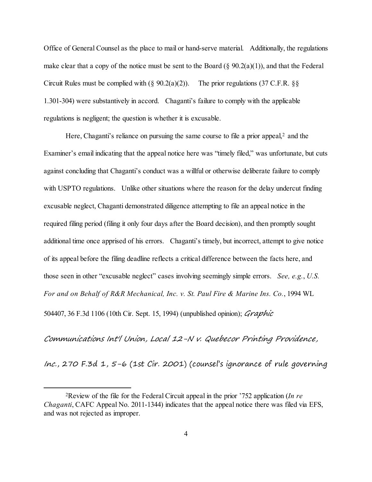Office of General Counsel as the place to mail or hand-serve material. Additionally, the regulations make clear that a copy of the notice must be sent to the Board  $(\S 90.2(a)(1))$ , and that the Federal Circuit Rules must be complied with  $(\S$  90.2(a)(2)). The prior regulations (37 C.F.R.  $\S$ § 1.301-304) were substantively in accord. Chaganti's failure to comply with the applicable regulations is negligent; the question is whether it is excusable.

Here, Chaganti's reliance on pursuing the same course to file a prior appeal,<sup>[2](#page-3-0)</sup> and the Examiner's email indicating that the appeal notice here was "timely filed," was unfortunate, but cuts against concluding that Chaganti's conduct was a willful or otherwise deliberate failure to comply with USPTO regulations. Unlike other situations where the reason for the delay undercut finding excusable neglect, Chaganti demonstrated diligence attempting to file an appeal notice in the required filing period (filing it only four days after the Board decision), and then promptly sought additional time once apprised of his errors. Chaganti's timely, but incorrect, attempt to give notice of its appeal before the filing deadline reflects a critical difference between the facts here, and those seen in other "excusable neglect" cases involving seemingly simple errors. *See, e.g.*, *U.S. For and on Behalf of R&R Mechanical, Inc. v. St. Paul Fire & Marine Ins. Co.*, 1994 WL 504407, 36 F.3d 1106 (10th Cir. Sept. 15, 1994) (unpublished opinion); *Graphic* 

Communications Int'l Union, Local 12-N v. Quebecor Printing Providence,

Inc., 270 F.3d 1,  $5-6$  (1st Cir. 2001) (counsel's ignorance of rule governing

<span id="page-3-0"></span> <sup>2</sup>Review of the file for the Federal Circuit appeal in the prior '752 application (*In re Chaganti*, CAFC Appeal No. 2011-1344) indicates that the appeal notice there was filed via EFS, and was not rejected as improper.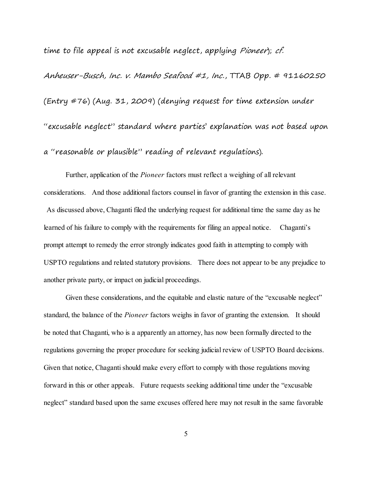time to file appeal is not excusable neglect, applying Pioneer); cf.

Anheuser-Busch, Inc. v. Mambo Seafood #1, Inc., TTAB Opp. # 91160250 (Entry #76) (Aug. 31, 2009) (denying request for time extension under "excusable neglect" standard where parties' explanation was not based upon a "reasonable or plausible" reading of relevant regulations).

Further, application of the *Pioneer* factors must reflect a weighing of all relevant considerations. And those additional factors counsel in favor of granting the extension in this case. As discussed above, Chaganti filed the underlying request for additional time the same day as he learned of his failure to comply with the requirements for filing an appeal notice. Chaganti's prompt attempt to remedy the error strongly indicates good faith in attempting to comply with USPTO regulations and related statutory provisions. There does not appear to be any prejudice to another private party, or impact on judicial proceedings.

Given these considerations, and the equitable and elastic nature of the "excusable neglect" standard, the balance of the *Pioneer* factors weighs in favor of granting the extension. It should be noted that Chaganti, who is a apparently an attorney, has now been formally directed to the regulations governing the proper procedure for seeking judicial review of USPTO Board decisions. Given that notice, Chaganti should make every effort to comply with those regulations moving forward in this or other appeals. Future requests seeking additional time under the "excusable neglect" standard based upon the same excuses offered here may not result in the same favorable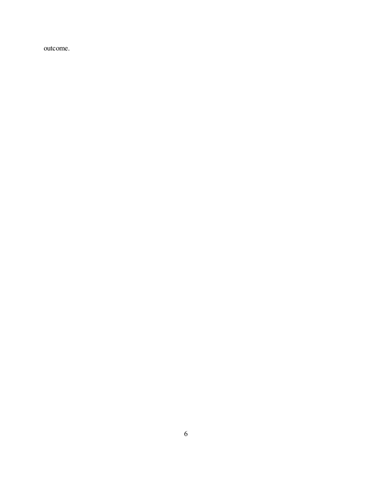outcome.